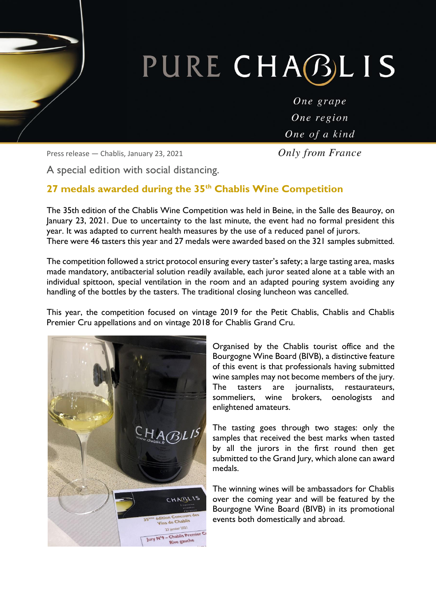# PURE CHABLIS

One grape One region One of a kind

Press release — Chablis, January 23, 2021

**Only from France** 

A special edition with social distancing.

#### **27 medals awarded during the 35th Chablis Wine Competition**

The 35th edition of the Chablis Wine Competition was held in Beine, in the Salle des Beauroy, on January 23, 2021. Due to uncertainty to the last minute, the event had no formal president this year. It was adapted to current health measures by the use of a reduced panel of jurors. There were 46 tasters this year and 27 medals were awarded based on the 321 samples submitted.

The competition followed a strict protocol ensuring every taster's safety; a large tasting area, masks made mandatory, antibacterial solution readily available, each juror seated alone at a table with an individual spittoon, special ventilation in the room and an adapted pouring system avoiding any handling of the bottles by the tasters. The traditional closing luncheon was cancelled.

This year, the competition focused on vintage 2019 for the Petit Chablis, Chablis and Chablis Premier Cru appellations and on vintage 2018 for Chablis Grand Cru.



Organised by the Chablis tourist office and the Bourgogne Wine Board (BIVB), a distinctive feature of this event is that professionals having submitted wine samples may not become members of the jury. The tasters are journalists, restaurateurs, sommeliers, wine brokers, oenologists and enlightened amateurs.

The tasting goes through two stages: only the samples that received the best marks when tasted by all the jurors in the first round then get submitted to the Grand Jury, which alone can award medals.

The winning wines will be ambassadors for Chablis over the coming year and will be featured by the Bourgogne Wine Board (BIVB) in its promotional events both domestically and abroad.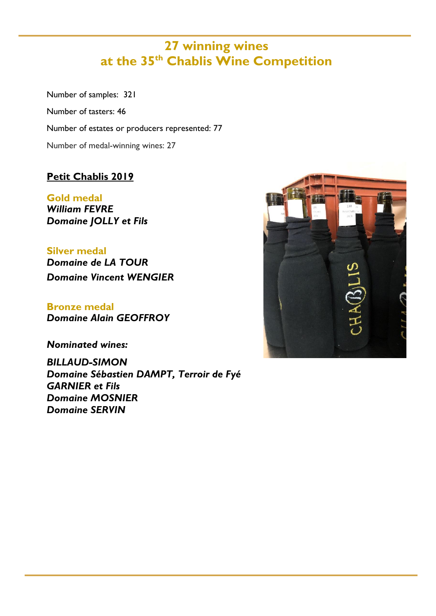### **27 winning wines at the 35th Chablis Wine Competition**

Number of samples: 321 Number of tasters: 46 Number of estates or producers represented: 77 Number of medal-winning wines: 27

#### **Petit Chablis 2019**

**Gold medal**  *William FEVRE Domaine JOLLY et Fils* 

**Silver medal**  *Domaine de LA TOUR Domaine Vincent WENGIER* 

**Bronze medal**  *Domaine Alain GEOFFROY* 

*Nominated wines:* 

*BILLAUD-SIMON Domaine Sébastien DAMPT, Terroir de Fyé GARNIER et Fils Domaine MOSNIER Domaine SERVIN* 

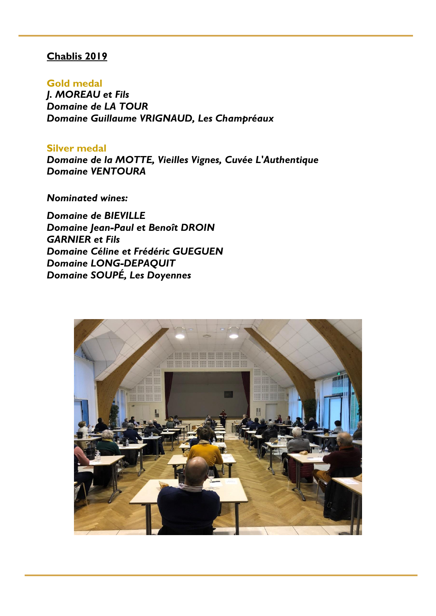#### **Chablis 2019**

**Gold medal**  *J. MOREAU et Fils Domaine de LA TOUR Domaine Guillaume VRIGNAUD, Les Champréaux*

**Silver medal**  *Domaine de la MOTTE, Vieilles Vignes, Cuvée L'Authentique Domaine VENTOURA* 

*Nominated wines:* 

*Domaine de BIEVILLE Domaine Jean-Paul et Benoît DROIN GARNIER et Fils Domaine Céline et Frédéric GUEGUEN Domaine LONG-DEPAQUIT Domaine SOUPÉ, Les Doyennes* 

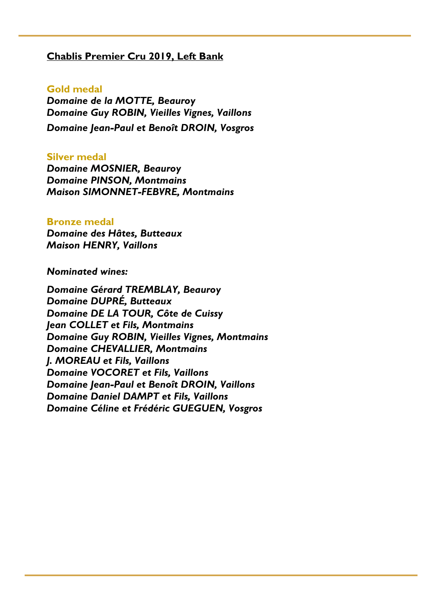#### **Chablis Premier Cru 2019, Left Bank**

#### **Gold medal**

*Domaine de la MOTTE, Beauroy Domaine Guy ROBIN, Vieilles Vignes, Vaillons Domaine Jean-Paul et Benoît DROIN, Vosgros* 

#### **Silver medal**

*Domaine MOSNIER, Beauroy Domaine PINSON, Montmains Maison SIMONNET-FEBVRE, Montmains* 

#### **Bronze medal**

*Domaine des Hâtes , Butteaux Maison HENRY, Vaillons* 

*Nominated wines:* 

*Domaine Gérard TREMBLAY, Beauroy Domaine DUPRÉ, Butteaux Domaine DE LA TOUR, Côte de Cuissy Jean COLLET et Fils, Montmains Domaine Guy ROBIN, Vieilles Vignes, Montmains Domaine CHEVALLIER, Montmains J. MOREAU et Fils, Vaillons Domaine VOCORET et Fils, Vaillons Domaine Jean-Paul et Benoît DROIN, Vaillons Domaine Daniel DAMPT et Fils, Vaillons Domaine Céline et Frédéric GUEGUEN, Vosgros*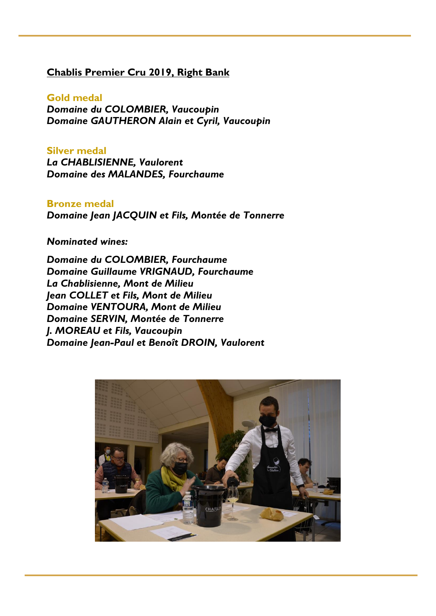#### **Chablis Premier Cru 2019, Right Bank**

**Gold medal**  *Domaine du COLOMBIER, Vaucoupin Domaine GAUTHERON Alain et Cyril, Vaucoupin* 

**Silver medal**  *La CHABLISIENNE, Vaulorent Domaine des MALANDES, Fourchaume* 

**Bronze medal** *Domaine Jean JACQUIN et Fils, Montée de Tonnerre* 

*Nominated wines:* 

*Domaine du COLOMBIER, Fourchaume Domaine Guillaume VRIGNAUD, Fourchaume La Chablisienne, Mont de Milieu Jean COLLET et Fils, Mont de Milieu Domaine VENTOURA, Mont de Milieu Domaine SERVIN, Montée de Tonnerre J. MOREAU et Fils, Vaucoupin Domaine Jean-Paul et Benoît DROIN, Vaulorent*